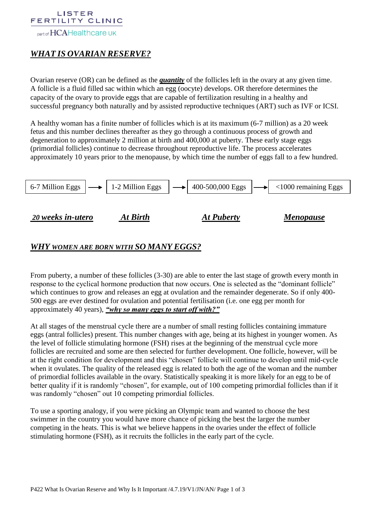#### LISTER FERTILITY CLINIC

part of HCAHealthcare UK

# *WHAT IS OVARIAN RESERVE?*

Ovarian reserve (OR) can be defined as the *quantity* of the follicles left in the ovary at any given time. A follicle is a fluid filled sac within which an egg (oocyte) develops. OR therefore determines the capacity of the ovary to provide eggs that are capable of fertilization resulting in a healthy and successful pregnancy both naturally and by assisted reproductive techniques (ART) such as IVF or ICSI.

A healthy woman has a finite number of follicles which is at its maximum (6-7 million) as a 20 week fetus and this number declines thereafter as they go through a continuous process of growth and degeneration to approximately 2 million at birth and 400,000 at puberty. These early stage eggs (primordial follicles) continue to decrease throughout reproductive life. The process accelerates approximately 10 years prior to the menopause, by which time the number of eggs fall to a few hundred.



# *WHY WOMEN ARE BORN WITH SO MANY EGGS?*

From puberty, a number of these follicles (3-30) are able to enter the last stage of growth every month in response to the cyclical hormone production that now occurs. One is selected as the "dominant follicle" which continues to grow and releases an egg at ovulation and the remainder degenerate. So if only 400- 500 eggs are ever destined for ovulation and potential fertilisation (i.e. one egg per month for approximately 40 years), *"why so many eggs to start off with?"*

At all stages of the menstrual cycle there are a number of small resting follicles containing immature eggs (antral follicles) present. This number changes with age, being at its highest in younger women. As the level of follicle stimulating hormone (FSH) rises at the beginning of the menstrual cycle more follicles are recruited and some are then selected for further development. One follicle, however, will be at the right condition for development and this "chosen" follicle will continue to develop until mid-cycle when it ovulates. The quality of the released egg is related to both the age of the woman and the number of primordial follicles available in the ovary. Statistically speaking it is more likely for an egg to be of better quality if it is randomly "chosen", for example, out of 100 competing primordial follicles than if it was randomly "chosen" out 10 competing primordial follicles.

To use a sporting analogy, if you were picking an Olympic team and wanted to choose the best swimmer in the country you would have more chance of picking the best the larger the number competing in the heats. This is what we believe happens in the ovaries under the effect of follicle stimulating hormone (FSH), as it recruits the follicles in the early part of the cycle.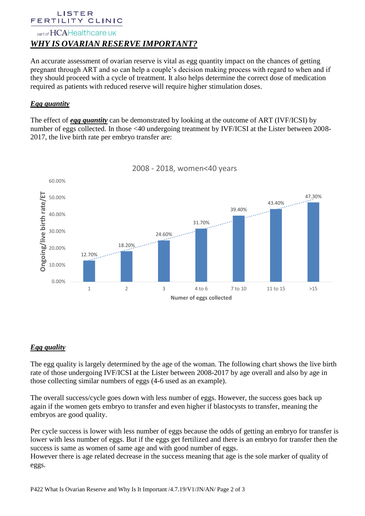#### LISTER FERTILITY CLINIC

# part of HCAHealthcare UK *WHY IS OVARIAN RESERVE IMPORTANT?*

An accurate assessment of ovarian reserve is vital as egg quantity impact on the chances of getting pregnant through ART and so can help a couple's decision making process with regard to when and if they should proceed with a cycle of treatment. It also helps determine the correct dose of medication required as patients with reduced reserve will require higher stimulation doses.

## *Egg quantity*

The effect of *egg quantity* can be demonstrated by looking at the outcome of ART (IVF/ICSI) by number of eggs collected. In those <40 undergoing treatment by IVF/ICSI at the Lister between 2008- 2017, the live birth rate per embryo transfer are:



2008 - 2018, women<40 years

## *Egg quality*

The egg quality is largely determined by the age of the woman. The following chart shows the live birth rate of those undergoing IVF/ICSI at the Lister between 2008-2017 by age overall and also by age in those collecting similar numbers of eggs (4-6 used as an example).

The overall success/cycle goes down with less number of eggs. However, the success goes back up again if the women gets embryo to transfer and even higher if blastocysts to transfer, meaning the embryos are good quality.

Per cycle success is lower with less number of eggs because the odds of getting an embryo for transfer is lower with less number of eggs. But if the eggs get fertilized and there is an embryo for transfer then the success is same as women of same age and with good number of eggs.

However there is age related decrease in the success meaning that age is the sole marker of quality of eggs.